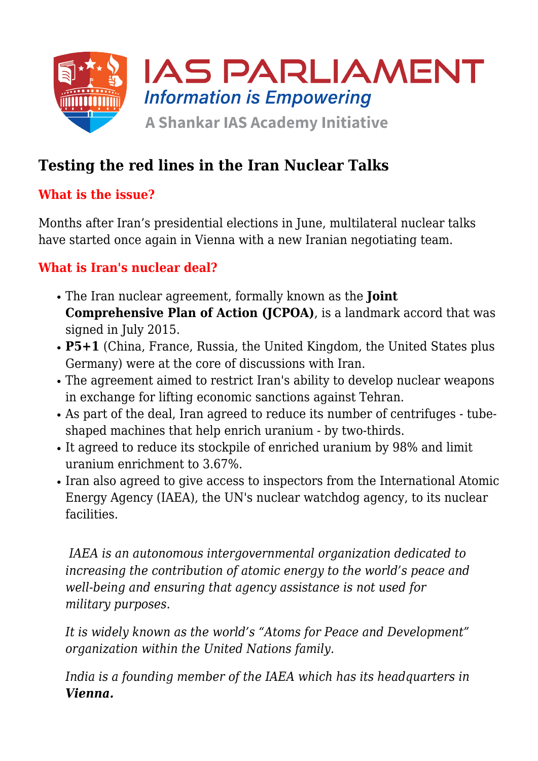

# **Testing the red lines in the Iran Nuclear Talks**

### **What is the issue?**

Months after Iran's presidential elections in June, multilateral nuclear talks have started once again in Vienna with a new Iranian negotiating team.

### **What is Iran's nuclear deal?**

- The Iran nuclear agreement, formally known as the **Joint Comprehensive Plan of Action (JCPOA)**, is a landmark accord that was signed in July 2015.
- **P5+1** (China, France, Russia, the United Kingdom, the United States plus Germany) were at the core of discussions with Iran.
- The agreement aimed to restrict Iran's ability to develop nuclear weapons in exchange for lifting economic sanctions against Tehran.
- As part of the deal, Iran agreed to reduce its number of centrifuges tubeshaped machines that help enrich uranium - by two-thirds.
- It agreed to reduce its stockpile of enriched uranium by 98% and limit uranium enrichment to 3.67%.
- Iran also agreed to give access to inspectors from the International Atomic Energy Agency (IAEA), the UN's nuclear watchdog agency, to its nuclear facilities.

 *IAEA is an autonomous intergovernmental organization dedicated to increasing the contribution of atomic energy to the world's peace and well-being and ensuring that agency assistance is not used for military purposes.*

*It is widely known as the world's "Atoms for Peace and Development" organization within the United Nations family.*

*India is a founding member of the IAEA which has its headquarters in Vienna.*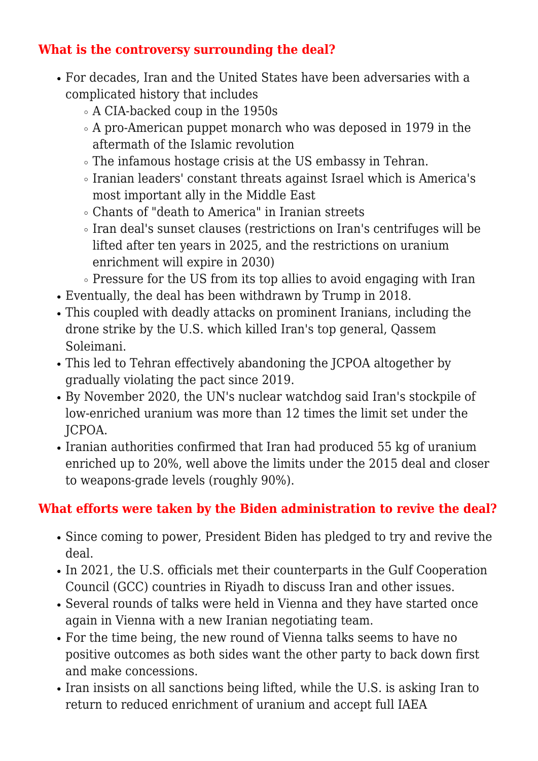# **What is the controversy surrounding the deal?**

- For decades, Iran and the United States have been adversaries with a complicated history that includes
	- A CIA-backed coup in the 1950s
	- A pro-American puppet monarch who was deposed in 1979 in the aftermath of the Islamic revolution
	- The infamous hostage crisis at the US embassy in Tehran.
	- Iranian leaders' constant threats against Israel which is America's most important ally in the Middle East
	- Chants of "death to America" in Iranian streets
	- Iran deal's sunset clauses (restrictions on Iran's centrifuges will be lifted after ten years in 2025, and the restrictions on uranium enrichment will expire in 2030)
	- Pressure for the US from its top allies to avoid engaging with Iran
- Eventually, the deal has been withdrawn by Trump in 2018.
- This coupled with deadly attacks on prominent Iranians, including the drone strike by the U.S. which killed Iran's top general, Qassem Soleimani.
- This led to Tehran effectively abandoning the JCPOA altogether by gradually violating the pact since 2019.
- By November 2020, the UN's nuclear watchdog said Iran's stockpile of low-enriched uranium was more than 12 times the limit set under the JCPOA.
- Iranian authorities confirmed that Iran had produced 55 kg of uranium enriched up to 20%, well above the limits under the 2015 deal and closer to weapons-grade levels (roughly 90%).

# **What efforts were taken by the Biden administration to revive the deal?**

- Since coming to power, President Biden has pledged to try and revive the deal.
- In 2021, the U.S. officials met their counterparts in the Gulf Cooperation Council (GCC) countries in Riyadh to discuss Iran and other issues.
- Several rounds of talks were held in Vienna and they have started once again in Vienna with a new Iranian negotiating team.
- For the time being, the new round of Vienna talks seems to have no positive outcomes as both sides want the other party to back down first and make concessions.
- Iran insists on all sanctions being lifted, while the U.S. is asking Iran to return to reduced enrichment of uranium and accept full IAEA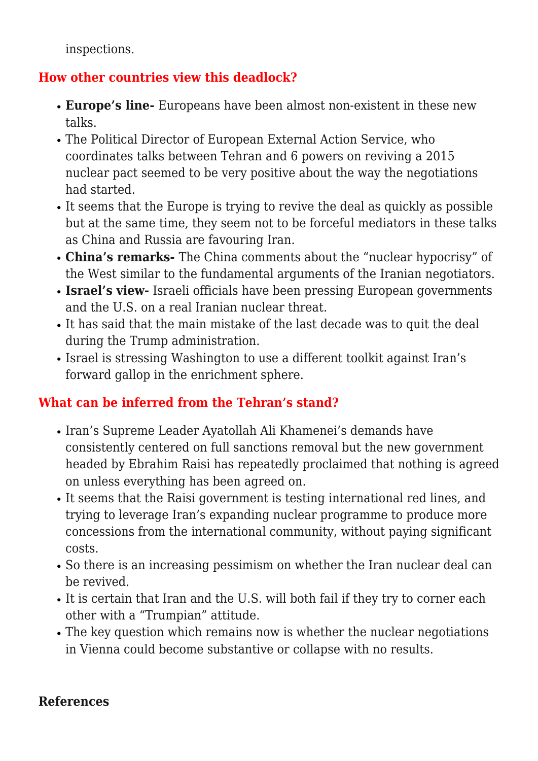inspections.

#### **How other countries view this deadlock?**

- **Europe's line-** Europeans have been almost non-existent in these new talks.
- The Political Director of European External Action Service, who coordinates talks between Tehran and 6 powers on reviving a 2015 nuclear pact seemed to be very positive about the way the negotiations had started.
- It seems that the Europe is trying to revive the deal as quickly as possible but at the same time, they seem not to be forceful mediators in these talks as China and Russia are favouring Iran.
- **China's remarks-** The China comments about the "nuclear hypocrisy" of the West similar to the fundamental arguments of the Iranian negotiators.
- **Israel's view-** Israeli officials have been pressing European governments and the U.S. on a real Iranian nuclear threat.
- It has said that the main mistake of the last decade was to quit the deal during the Trump administration.
- Israel is stressing Washington to use a different toolkit against Iran's forward gallop in the enrichment sphere.

# **What can be inferred from the Tehran's stand?**

- Iran's Supreme Leader Ayatollah Ali Khamenei's demands have consistently centered on full sanctions removal but the new government headed by Ebrahim Raisi has repeatedly proclaimed that nothing is agreed on unless everything has been agreed on.
- It seems that the Raisi government is testing international red lines, and trying to leverage Iran's expanding nuclear programme to produce more concessions from the international community, without paying significant costs.
- So there is an increasing pessimism on whether the Iran nuclear deal can be revived.
- It is certain that Iran and the U.S. will both fail if they try to corner each other with a "Trumpian" attitude.
- The key question which remains now is whether the nuclear negotiations in Vienna could become substantive or collapse with no results.

#### **References**